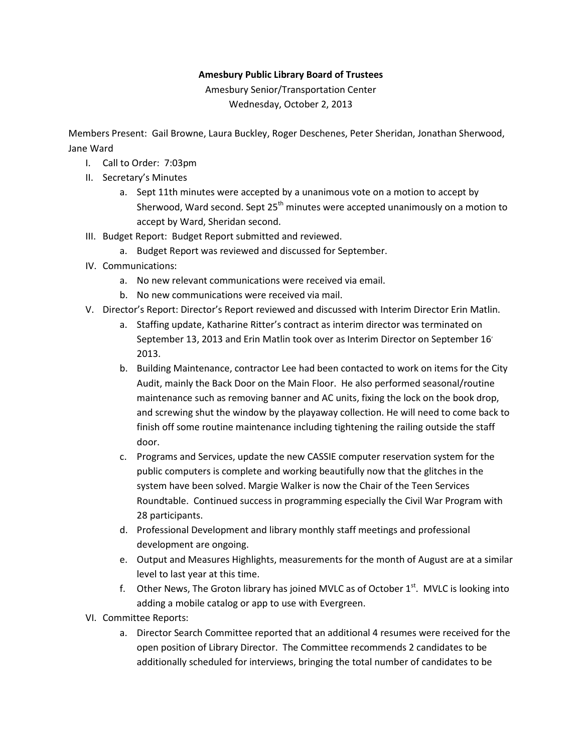## Amesbury Public Library Board of Trustees

Amesbury Senior/Transportation Center Wednesday, October 2, 2013

Members Present: Gail Browne, Laura Buckley, Roger Deschenes, Peter Sheridan, Jonathan Sherwood, Jane Ward

- I. Call to Order: 7:03pm
- II. Secretary's Minutes
	- a. Sept 11th minutes were accepted by a unanimous vote on a motion to accept by Sherwood, Ward second. Sept  $25<sup>th</sup>$  minutes were accepted unanimously on a motion to accept by Ward, Sheridan second.
- III. Budget Report: Budget Report submitted and reviewed.
	- a. Budget Report was reviewed and discussed for September.
- IV. Communications:
	- a. No new relevant communications were received via email.
	- b. No new communications were received via mail.
- V. Director's Report: Director's Report reviewed and discussed with Interim Director Erin Matlin.
	- a. Staffing update, Katharine Ritter's contract as interim director was terminated on September 13, 2013 and Erin Matlin took over as Interim Director on September 16, 2013.
	- b. Building Maintenance, contractor Lee had been contacted to work on items for the City Audit, mainly the Back Door on the Main Floor. He also performed seasonal/routine maintenance such as removing banner and AC units, fixing the lock on the book drop, and screwing shut the window by the playaway collection. He will need to come back to finish off some routine maintenance including tightening the railing outside the staff door.
	- c. Programs and Services, update the new CASSIE computer reservation system for the public computers is complete and working beautifully now that the glitches in the system have been solved. Margie Walker is now the Chair of the Teen Services Roundtable. Continued success in programming especially the Civil War Program with 28 participants.
	- d. Professional Development and library monthly staff meetings and professional development are ongoing.
	- e. Output and Measures Highlights, measurements for the month of August are at a similar level to last year at this time.
	- f. Other News, The Groton library has joined MVLC as of October  $1<sup>st</sup>$ . MVLC is looking into adding a mobile catalog or app to use with Evergreen.
- VI. Committee Reports:
	- a. Director Search Committee reported that an additional 4 resumes were received for the open position of Library Director. The Committee recommends 2 candidates to be additionally scheduled for interviews, bringing the total number of candidates to be